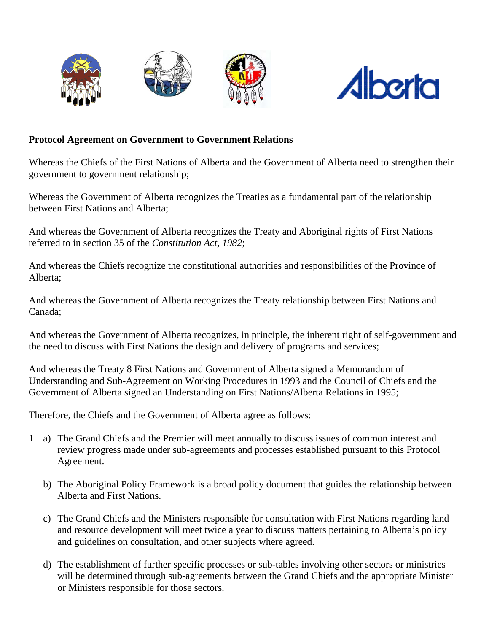



## **Protocol Agreement on Government to Government Relations**

Whereas the Chiefs of the First Nations of Alberta and the Government of Alberta need to strengthen their government to government relationship;

Whereas the Government of Alberta recognizes the Treaties as a fundamental part of the relationship between First Nations and Alberta;

And whereas the Government of Alberta recognizes the Treaty and Aboriginal rights of First Nations referred to in section 35 of the *Constitution Act, 1982*;

And whereas the Chiefs recognize the constitutional authorities and responsibilities of the Province of Alberta;

And whereas the Government of Alberta recognizes the Treaty relationship between First Nations and Canada;

And whereas the Government of Alberta recognizes, in principle, the inherent right of self-government and the need to discuss with First Nations the design and delivery of programs and services;

And whereas the Treaty 8 First Nations and Government of Alberta signed a Memorandum of Understanding and Sub-Agreement on Working Procedures in 1993 and the Council of Chiefs and the Government of Alberta signed an Understanding on First Nations/Alberta Relations in 1995;

Therefore, the Chiefs and the Government of Alberta agree as follows:

- 1. a) The Grand Chiefs and the Premier will meet annually to discuss issues of common interest and review progress made under sub-agreements and processes established pursuant to this Protocol Agreement.
	- b) The Aboriginal Policy Framework is a broad policy document that guides the relationship between Alberta and First Nations.
	- c) The Grand Chiefs and the Ministers responsible for consultation with First Nations regarding land and resource development will meet twice a year to discuss matters pertaining to Alberta's policy and guidelines on consultation, and other subjects where agreed.
	- d) The establishment of further specific processes or sub-tables involving other sectors or ministries will be determined through sub-agreements between the Grand Chiefs and the appropriate Minister or Ministers responsible for those sectors.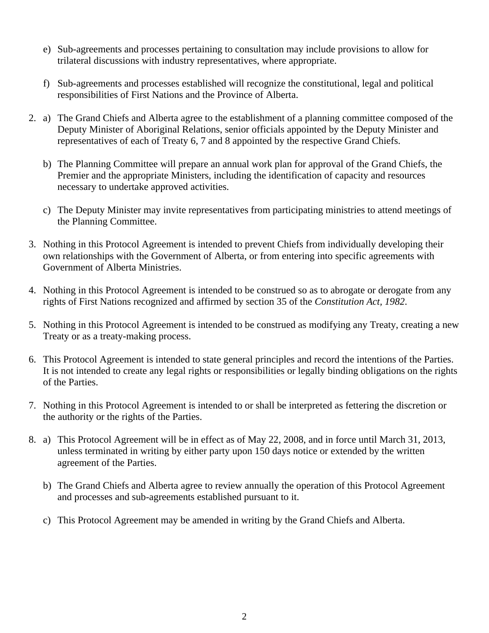- e) Sub-agreements and processes pertaining to consultation may include provisions to allow for trilateral discussions with industry representatives, where appropriate.
- f) Sub-agreements and processes established will recognize the constitutional, legal and political responsibilities of First Nations and the Province of Alberta.
- 2. a) The Grand Chiefs and Alberta agree to the establishment of a planning committee composed of the Deputy Minister of Aboriginal Relations, senior officials appointed by the Deputy Minister and representatives of each of Treaty 6, 7 and 8 appointed by the respective Grand Chiefs.
	- b) The Planning Committee will prepare an annual work plan for approval of the Grand Chiefs, the Premier and the appropriate Ministers, including the identification of capacity and resources necessary to undertake approved activities.
	- c) The Deputy Minister may invite representatives from participating ministries to attend meetings of the Planning Committee.
- 3. Nothing in this Protocol Agreement is intended to prevent Chiefs from individually developing their own relationships with the Government of Alberta, or from entering into specific agreements with Government of Alberta Ministries.
- 4. Nothing in this Protocol Agreement is intended to be construed so as to abrogate or derogate from any rights of First Nations recognized and affirmed by section 35 of the *Constitution Act, 1982*.
- 5. Nothing in this Protocol Agreement is intended to be construed as modifying any Treaty, creating a new Treaty or as a treaty-making process.
- 6. This Protocol Agreement is intended to state general principles and record the intentions of the Parties. It is not intended to create any legal rights or responsibilities or legally binding obligations on the rights of the Parties.
- 7. Nothing in this Protocol Agreement is intended to or shall be interpreted as fettering the discretion or the authority or the rights of the Parties.
- 8. a) This Protocol Agreement will be in effect as of May 22, 2008, and in force until March 31, 2013, unless terminated in writing by either party upon 150 days notice or extended by the written agreement of the Parties.
	- b) The Grand Chiefs and Alberta agree to review annually the operation of this Protocol Agreement and processes and sub-agreements established pursuant to it.
	- c) This Protocol Agreement may be amended in writing by the Grand Chiefs and Alberta.